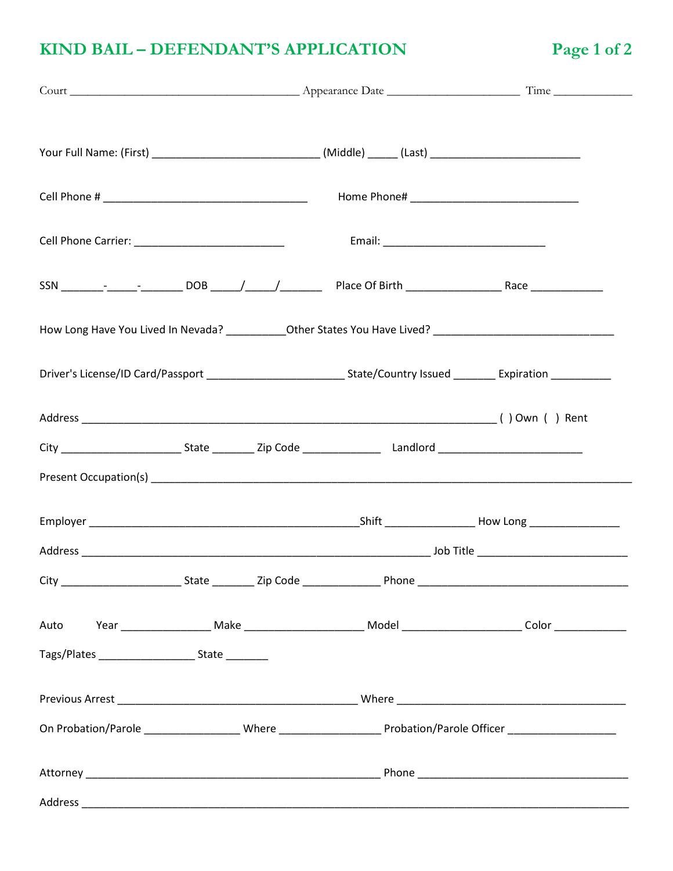## KIND BAIL - DEFENDANT'S APPLICATION

| Your Full Name: (First) _________________________________(Middle) ______ (Last) ______________________________       |  |  |  |
|----------------------------------------------------------------------------------------------------------------------|--|--|--|
|                                                                                                                      |  |  |  |
|                                                                                                                      |  |  |  |
|                                                                                                                      |  |  |  |
| How Long Have You Lived In Nevada? _____________Other States You Have Lived? _________________________________       |  |  |  |
| Driver's License/ID Card/Passport ______________________________State/Country Issued _________ Expiration __________ |  |  |  |
|                                                                                                                      |  |  |  |
|                                                                                                                      |  |  |  |
|                                                                                                                      |  |  |  |
|                                                                                                                      |  |  |  |
|                                                                                                                      |  |  |  |
|                                                                                                                      |  |  |  |
|                                                                                                                      |  |  |  |
| Tags/Plates __________________________________State ____________                                                     |  |  |  |
|                                                                                                                      |  |  |  |
| On Probation/Parole ____________________Where ___________________________Probation/Parole Officer __________________ |  |  |  |
|                                                                                                                      |  |  |  |
|                                                                                                                      |  |  |  |

Page 1 of 2